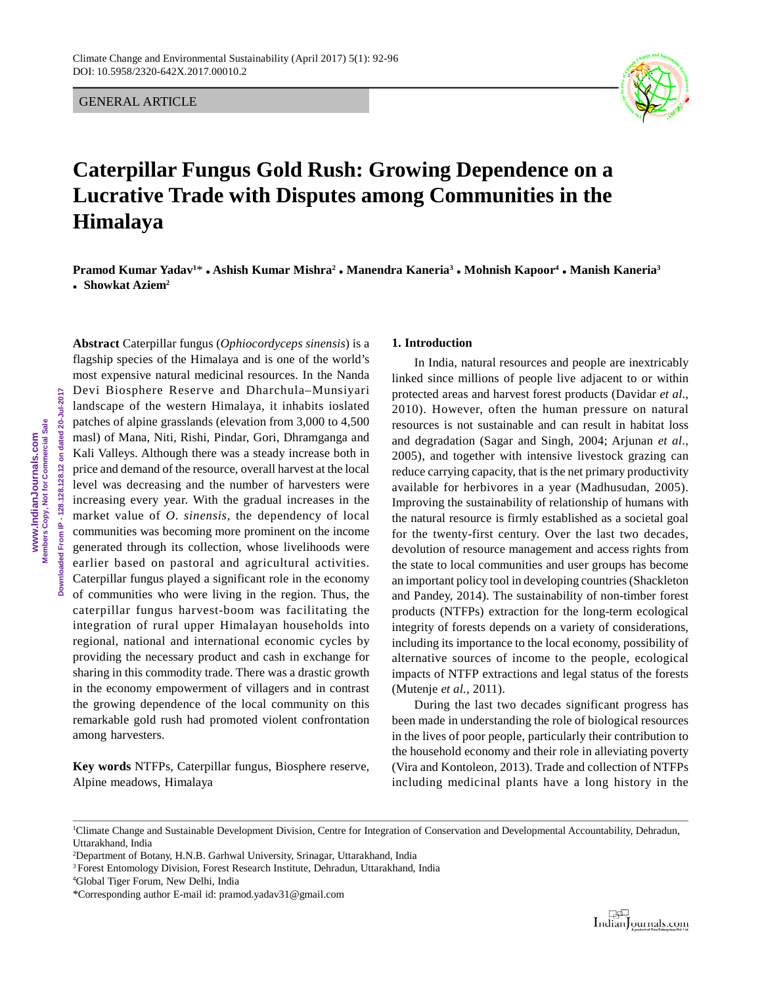GENERAL ARTICLE



# **Caterpillar Fungus Gold Rush: Growing Dependence on a Lucrative Trade with Disputes among Communities in the Himalaya**

**Pramod Kumar Yadav1**\* **Ashish Kumar Mishra<sup>2</sup> Manendra Kaneria<sup>3</sup> Mohnish Kapoor<sup>4</sup> Manish Kaneria<sup>3</sup> Showkat Aziem<sup>2</sup>**

**Abstract** Caterpillar fungus (*Ophiocordyceps sinensis*) is a flagship species of the Himalaya and is one of the world's most expensive natural medicinal resources. In the Nanda Devi Biosphere Reserve and Dharchula–Munsiyari landscape of the western Himalaya, it inhabits ioslated patches of alpine grasslands (elevation from 3,000 to 4,500 masl) of Mana, Niti, Rishi, Pindar, Gori, Dhramganga and Kali Valleys. Although there was a steady increase both in price and demand of the resource, overall harvest at the local level was decreasing and the number of harvesters were increasing every year. With the gradual increases in the market value of *O*. *sinensis,* the dependency of local communities was becoming more prominent on the income generated through its collection, whose livelihoods were earlier based on pastoral and agricultural activities. Caterpillar fungus played a significant role in the economy of communities who were living in the region. Thus, the caterpillar fungus harvest-boom was facilitating the integration of rural upper Himalayan households into regional, national and international economic cycles by providing the necessary product and cash in exchange for sharing in this commodity trade. There was a drastic growth in the economy empowerment of villagers and in contrast the growing dependence of the local community on this remarkable gold rush had promoted violent confrontation among harvesters.

**Key words** NTFPs, Caterpillar fungus, Biosphere reserve, Alpine meadows, Himalaya

# **1. Introduction**

In India, natural resources and people are inextricably linked since millions of people live adjacent to or within protected areas and harvest forest products (Davidar *et al*., 2010). However, often the human pressure on natural resources is not sustainable and can result in habitat loss and degradation (Sagar and Singh, 2004; Arjunan *et al*., 2005), and together with intensive livestock grazing can reduce carrying capacity, that is the net primary productivity available for herbivores in a year (Madhusudan, 2005). Improving the sustainability of relationship of humans with the natural resource is firmly established as a societal goal for the twenty-first century. Over the last two decades, devolution of resource management and access rights from the state to local communities and user groups has become an important policy tool in developing countries (Shackleton and Pandey, 2014). The sustainability of non-timber forest products (NTFPs) extraction for the long-term ecological integrity of forests depends on a variety of considerations, including its importance to the local economy, possibility of alternative sources of income to the people, ecological impacts of NTFP extractions and legal status of the forests (Mutenje *et al.*, 2011).

During the last two decades significant progress has been made in understanding the role of biological resources in the lives of poor people, particularly their contribution to the household economy and their role in alleviating poverty (Vira and Kontoleon, 2013). Trade and collection of NTFPs including medicinal plants have a long history in the



<sup>1</sup>Climate Change and Sustainable Development Division, Centre for Integration of Conservation and Developmental Accountability, Dehradun, Uttarakhand, India

<sup>2</sup>Department of Botany, H.N.B. Garhwal University, Srinagar, Uttarakhand, India

<sup>&</sup>lt;sup>3</sup> Forest Entomology Division, Forest Research Institute, Dehradun, Uttarakhand, India

<sup>4</sup>Global Tiger Forum, New Delhi, India

<sup>\*</sup>Corresponding author E-mail id: pramod.yadav31@gmail.com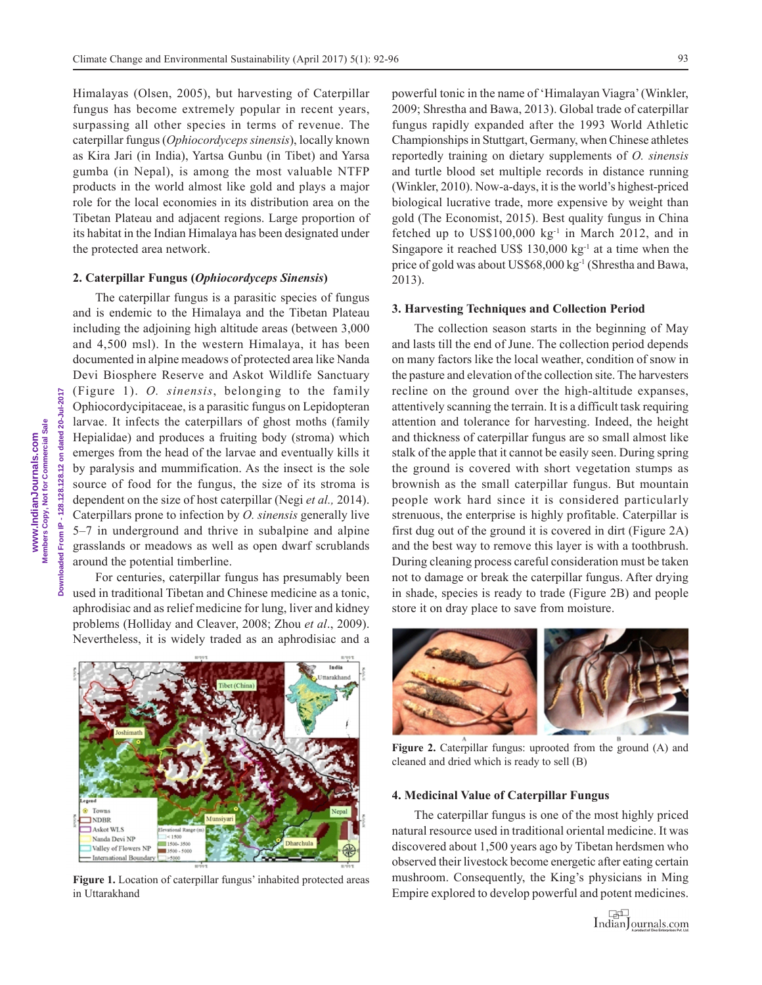Himalayas (Olsen, 2005), but harvesting of Caterpillar fungus has become extremely popular in recent years, surpassing all other species in terms of revenue. The caterpillar fungus (*Ophiocordyceps sinensis*), locally known as Kira Jari (in India), Yartsa Gunbu (in Tibet) and Yarsa gumba (in Nepal), is among the most valuable NTFP products in the world almost like gold and plays a major role for the local economies in its distribution area on the Tibetan Plateau and adjacent regions. Large proportion of its habitat in the Indian Himalaya has been designated under the protected area network.

#### **2. Caterpillar Fungus (***Ophiocordyceps Sinensis***)**

The caterpillar fungus is a parasitic species of fungus and is endemic to the Himalaya and the Tibetan Plateau including the adjoining high altitude areas (between 3,000 and 4,500 msl). In the western Himalaya, it has been documented in alpine meadows of protected area like Nanda Devi Biosphere Reserve and Askot Wildlife Sanctuary (Figure 1). *O. sinensis*, belonging to the family Ophiocordycipitaceae, is a parasitic fungus on Lepidopteran larvae. It infects the caterpillars of ghost moths (family Hepialidae) and produces a fruiting body (stroma) which emerges from the head of the larvae and eventually kills it by paralysis and mummification. As the insect is the sole source of food for the fungus, the size of its stroma is dependent on the size of host caterpillar (Negi *et al.,* 2014). Caterpillars prone to infection by *O. sinensis* generally live 5–7 in underground and thrive in subalpine and alpine grasslands or meadows as well as open dwarf scrublands around the potential timberline.

For centuries, caterpillar fungus has presumably been used in traditional Tibetan and Chinese medicine as a tonic, aphrodisiac and as relief medicine for lung, liver and kidney problems (Holliday and Cleaver, 2008; Zhou *et al*., 2009). Nevertheless, it is widely traded as an aphrodisiac and a

Town **JNDBR** Askot WLS Nanda Devi NP Valley of Flowers NP **International Boundar** 

**Figure 1.** Location of caterpillar fungus' inhabited protected areas in Uttarakhand

powerful tonic in the name of 'Himalayan Viagra' (Winkler, 2009; Shrestha and Bawa, 2013). Global trade of caterpillar fungus rapidly expanded after the 1993 World Athletic Championships in Stuttgart, Germany, when Chinese athletes reportedly training on dietary supplements of *O. sinensis* and turtle blood set multiple records in distance running (Winkler, 2010). Now-a-days, it is the world's highest-priced biological lucrative trade, more expensive by weight than gold (The Economist, 2015). Best quality fungus in China fetched up to  $US$100,000 kg<sup>-1</sup>$  in March 2012, and in Singapore it reached US\$ 130,000 kg<sup>-1</sup> at a time when the price of gold was about US\$68,000 kg<sup>-1</sup> (Shrestha and Bawa, 2013).

## **3. Harvesting Techniques and Collection Period**

The collection season starts in the beginning of May and lasts till the end of June. The collection period depends on many factors like the local weather, condition of snow in the pasture and elevation of the collection site. The harvesters recline on the ground over the high-altitude expanses, attentively scanning the terrain. It is a difficult task requiring attention and tolerance for harvesting. Indeed, the height and thickness of caterpillar fungus are so small almost like stalk of the apple that it cannot be easily seen. During spring the ground is covered with short vegetation stumps as brownish as the small caterpillar fungus. But mountain people work hard since it is considered particularly strenuous, the enterprise is highly profitable. Caterpillar is first dug out of the ground it is covered in dirt (Figure 2A) and the best way to remove this layer is with a toothbrush. During cleaning process careful consideration must be taken not to damage or break the caterpillar fungus. After drying in shade, species is ready to trade (Figure 2B) and people store it on dray place to save from moisture.

**Figure 2.** Caterpillar fungus: uprooted from the ground (A) and cleaned and dried which is ready to sell (B)

### **4. Medicinal Value of Caterpillar Fungus**

The caterpillar fungus is one of the most highly priced natural resource used in traditional oriental medicine. It was discovered about 1,500 years ago by Tibetan herdsmen who observed their livestock become energetic after eating certain mushroom. Consequently, the King's physicians in Ming Empire explored to develop powerful and potent medicines.

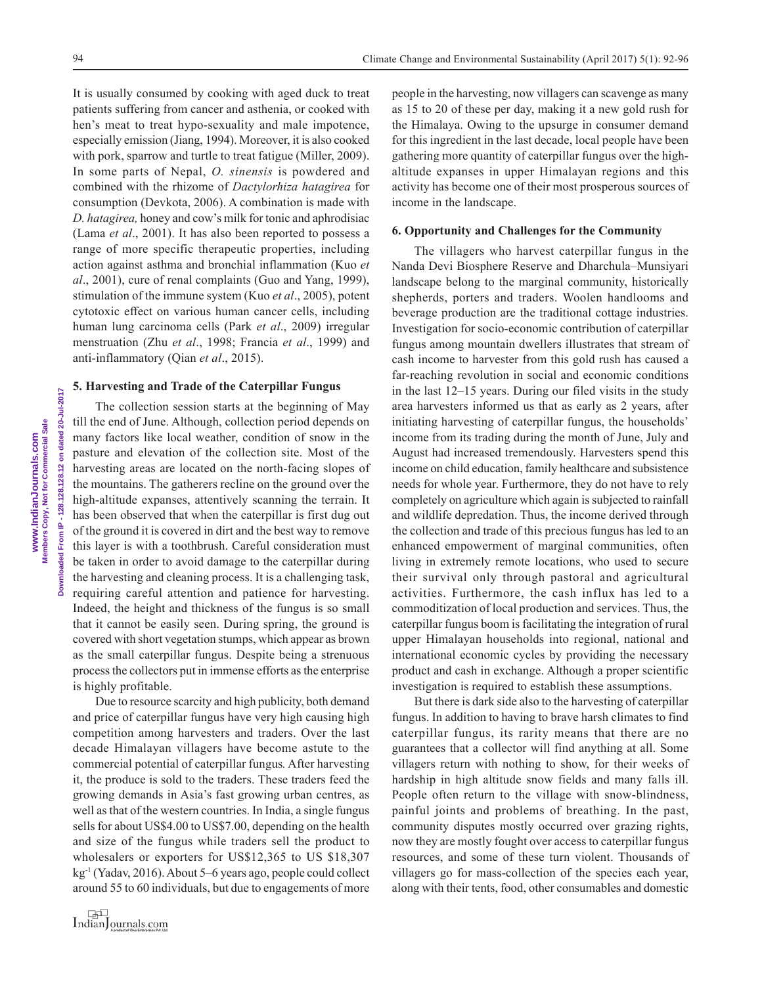It is usually consumed by cooking with aged duck to treat patients suffering from cancer and asthenia, or cooked with hen's meat to treat hypo-sexuality and male impotence, especially emission (Jiang, 1994). Moreover, it is also cooked with pork, sparrow and turtle to treat fatigue (Miller, 2009). In some parts of Nepal, *O. sinensis* is powdered and combined with the rhizome of *Dactylorhiza hatagirea* for consumption (Devkota, 2006). A combination is made with *D. hatagirea,* honey and cow's milk for tonic and aphrodisiac (Lama *et al*., 2001). It has also been reported to possess a range of more specific therapeutic properties, including action against asthma and bronchial inflammation (Kuo *et al*., 2001), cure of renal complaints (Guo and Yang, 1999), stimulation of the immune system (Kuo *et al*., 2005), potent cytotoxic effect on various human cancer cells, including human lung carcinoma cells (Park *et al*., 2009) irregular menstruation (Zhu *et al*., 1998; Francia *et al*., 1999) and anti-inflammatory (Qian *et al*., 2015).

#### **5. Harvesting and Trade of the Caterpillar Fungus**

The collection session starts at the beginning of May till the end of June. Although, collection period depends on many factors like local weather, condition of snow in the pasture and elevation of the collection site. Most of the harvesting areas are located on the north-facing slopes of the mountains. The gatherers recline on the ground over the high-altitude expanses, attentively scanning the terrain. It has been observed that when the caterpillar is first dug out of the ground it is covered in dirt and the best way to remove this layer is with a toothbrush. Careful consideration must be taken in order to avoid damage to the caterpillar during the harvesting and cleaning process. It is a challenging task, requiring careful attention and patience for harvesting. Indeed, the height and thickness of the fungus is so small that it cannot be easily seen. During spring, the ground is covered with short vegetation stumps, which appear as brown as the small caterpillar fungus. Despite being a strenuous process the collectors put in immense efforts as the enterprise is highly profitable.

Due to resource scarcity and high publicity, both demand and price of caterpillar fungus have very high causing high competition among harvesters and traders. Over the last decade Himalayan villagers have become astute to the commercial potential of caterpillar fungus*.* After harvesting it, the produce is sold to the traders. These traders feed the growing demands in Asia's fast growing urban centres, as well as that of the western countries. In India, a single fungus sells for about US\$4.00 to US\$7.00, depending on the health and size of the fungus while traders sell the product to wholesalers or exporters for US\$12,365 to US \$18,307 kg-1 (Yadav, 2016). About 5–6 years ago, people could collect around 55 to 60 individuals, but due to engagements of more people in the harvesting, now villagers can scavenge as many as 15 to 20 of these per day, making it a new gold rush for the Himalaya. Owing to the upsurge in consumer demand for this ingredient in the last decade, local people have been gathering more quantity of caterpillar fungus over the highaltitude expanses in upper Himalayan regions and this activity has become one of their most prosperous sources of income in the landscape.

## **6. Opportunity and Challenges for the Community**

The villagers who harvest caterpillar fungus in the Nanda Devi Biosphere Reserve and Dharchula–Munsiyari landscape belong to the marginal community, historically shepherds, porters and traders. Woolen handlooms and beverage production are the traditional cottage industries. Investigation for socio-economic contribution of caterpillar fungus among mountain dwellers illustrates that stream of cash income to harvester from this gold rush has caused a far-reaching revolution in social and economic conditions in the last 12–15 years. During our filed visits in the study area harvesters informed us that as early as 2 years, after initiating harvesting of caterpillar fungus, the households' income from its trading during the month of June, July and August had increased tremendously. Harvesters spend this income on child education, family healthcare and subsistence needs for whole year. Furthermore, they do not have to rely completely on agriculture which again is subjected to rainfall and wildlife depredation. Thus, the income derived through the collection and trade of this precious fungus has led to an enhanced empowerment of marginal communities, often living in extremely remote locations, who used to secure their survival only through pastoral and agricultural activities. Furthermore, the cash influx has led to a commoditization of local production and services. Thus, the caterpillar fungus boom is facilitating the integration of rural upper Himalayan households into regional, national and international economic cycles by providing the necessary product and cash in exchange. Although a proper scientific investigation is required to establish these assumptions.

But there is dark side also to the harvesting of caterpillar fungus. In addition to having to brave harsh climates to find caterpillar fungus, its rarity means that there are no guarantees that a collector will find anything at all. Some villagers return with nothing to show, for their weeks of hardship in high altitude snow fields and many falls ill. People often return to the village with snow-blindness, painful joints and problems of breathing. In the past, community disputes mostly occurred over grazing rights, now they are mostly fought over access to caterpillar fungus resources, and some of these turn violent. Thousands of villagers go for mass-collection of the species each year, along with their tents, food, other consumables and domestic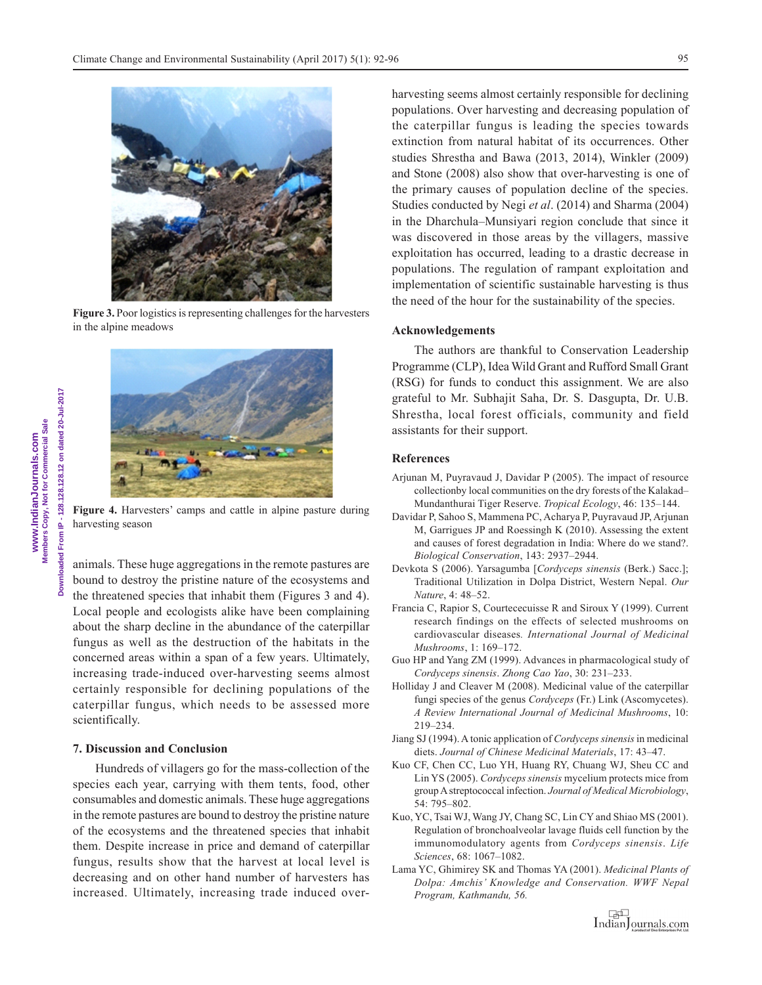

**Figure 3.** Poor logistics is representing challenges for the harvesters in the alpine meadows



**Figure 4.** Harvesters' camps and cattle in alpine pasture during harvesting season

animals. These huge aggregations in the remote pastures are bound to destroy the pristine nature of the ecosystems and the threatened species that inhabit them (Figures 3 and 4). Local people and ecologists alike have been complaining about the sharp decline in the abundance of the caterpillar fungus as well as the destruction of the habitats in the concerned areas within a span of a few years. Ultimately, increasing trade-induced over-harvesting seems almost certainly responsible for declining populations of the caterpillar fungus, which needs to be assessed more scientifically.

## **7. Discussion and Conclusion**

Hundreds of villagers go for the mass-collection of the species each year, carrying with them tents, food, other consumables and domestic animals. These huge aggregations in the remote pastures are bound to destroy the pristine nature of the ecosystems and the threatened species that inhabit them. Despite increase in price and demand of caterpillar fungus, results show that the harvest at local level is decreasing and on other hand number of harvesters has increased. Ultimately, increasing trade induced overharvesting seems almost certainly responsible for declining populations. Over harvesting and decreasing population of the caterpillar fungus is leading the species towards extinction from natural habitat of its occurrences. Other studies Shrestha and Bawa (2013, 2014), Winkler (2009) and Stone (2008) also show that over-harvesting is one of the primary causes of population decline of the species. Studies conducted by Negi *et al*. (2014) and Sharma (2004) in the Dharchula–Munsiyari region conclude that since it was discovered in those areas by the villagers, massive exploitation has occurred, leading to a drastic decrease in populations. The regulation of rampant exploitation and implementation of scientific sustainable harvesting is thus the need of the hour for the sustainability of the species.

## **Acknowledgements**

The authors are thankful to Conservation Leadership Programme (CLP), Idea Wild Grant and Rufford Small Grant (RSG) for funds to conduct this assignment. We are also grateful to Mr. Subhajit Saha, Dr. S. Dasgupta, Dr. U.B. Shrestha, local forest officials, community and field assistants for their support.

## **References**

- Arjunan M, Puyravaud J, Davidar P (2005). The impact of resource collectionby local communities on the dry forests of the Kalakad– Mundanthurai Tiger Reserve. *Tropical Ecology*, 46: 135–144.
- Davidar P, Sahoo S, Mammena PC, Acharya P, Puyravaud JP, Arjunan M, Garrigues JP and Roessingh K (2010). Assessing the extent and causes of forest degradation in India: Where do we stand?. *Biological Conservation*, 143: 2937–2944.
- Devkota S (2006). Yarsagumba [*Cordyceps sinensis* (Berk.) Sacc.]; Traditional Utilization in Dolpa District, Western Nepal. *Our Nature*, 4: 48–52.
- Francia C, Rapior S, Courtececuisse R and Siroux Y (1999). Current research findings on the effects of selected mushrooms on cardiovascular diseases*. International Journal of Medicinal Mushrooms*, 1: 169–172.
- Guo HP and Yang ZM (1999). Advances in pharmacological study of *Cordyceps sinensis*. *Zhong Cao Yao*, 30: 231–233.
- Holliday J and Cleaver M (2008). Medicinal value of the caterpillar fungi species of the genus *Cordyceps* (Fr.) Link (Ascomycetes). *A Review International Journal of Medicinal Mushrooms*, 10: 219–234.
- Jiang SJ (1994). A tonic application of *Cordyceps sinensis* in medicinal diets. *Journal of Chinese Medicinal Materials*, 17: 43–47.
- Kuo CF, Chen CC, Luo YH, Huang RY, Chuang WJ, Sheu CC and Lin YS (2005). *Cordyceps sinensis* mycelium protects mice from group A streptococcal infection. *Journal of Medical Microbiology*, 54: 795–802.
- Kuo, YC, Tsai WJ, Wang JY, Chang SC, Lin CY and Shiao MS (2001). Regulation of bronchoalveolar lavage fluids cell function by the immunomodulatory agents from *Cordyceps sinensis*. *Life Sciences*, 68: 1067–1082.
- Lama YC, Ghimirey SK and Thomas YA (2001). *Medicinal Plants of Dolpa: Amchis' Knowledge and Conservation. WWF Nepal Program, Kathmandu, 56.*